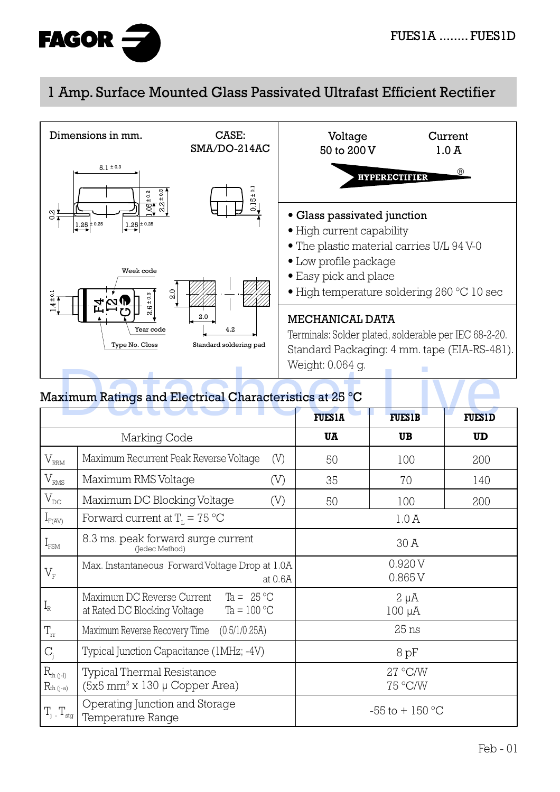

## 1 Amp. Surface Mounted Glass Passivated Ultrafast Efficient Rectifier



## Maximum Ratings and Electrical Characteristics at 25 ºC

|                                   |                                                                                                   | <b>FUES1A</b> | <b>FUES1B</b>            | <b>FUES1D</b> |
|-----------------------------------|---------------------------------------------------------------------------------------------------|---------------|--------------------------|---------------|
| Marking Code                      |                                                                                                   | UA            | <b>UB</b>                | <b>UD</b>     |
| $V_{\rm RRM}$                     | Maximum Recurrent Peak Reverse Voltage<br>(V)                                                     | 50            | 100                      | 200           |
| $V_{RMS}$                         | Maximum RMS Voltage<br>(V)                                                                        | 35            | 70                       | 140           |
| $V_{DC}$                          | Maximum DC Blocking Voltage<br>(V)                                                                | 50            | 100                      | 200           |
| $I_{F(AV)}$                       | Forward current at $TL = 75 °C$                                                                   |               | 1.0A                     |               |
| $I_{\text{FSM}}$                  | 8.3 ms. peak forward surge current<br>(Jedec Method)                                              |               | 30 A                     |               |
| $V_{\scriptscriptstyle \rm F}$    | Max. Instantaneous Forward Voltage Drop at 1.0A<br>at 0.6A                                        |               | 0.920V<br>0.865V         |               |
| $I_R$                             | Ta = $25\text{°C}$<br>Maximum DC Reverse Current<br>Ta = $100 °C$<br>at Rated DC Blocking Voltage |               | $2 \mu A$<br>$100 \mu A$ |               |
| $\rm T_{rr}$                      | Maximum Reverse Recovery Time<br>(0.5/1/0.25A)                                                    |               | $25$ ns                  |               |
| $C_i$                             | Typical Junction Capacitance (1MHz; -4V)                                                          |               | 8pF                      |               |
| $R_{th (j-l)}$<br>$R_{th\,(j-a)}$ | <b>Typical Thermal Resistance</b><br>$(5x5 \text{ mm}^2 \text{ x } 130 \mu \text{ Copper Area})$  |               | 27 °C/W<br>75 °C/W       |               |
| $T_{\rm stg}$                     | Operating Junction and Storage<br>Temperature Range                                               |               | $-55$ to $+150$ °C       |               |